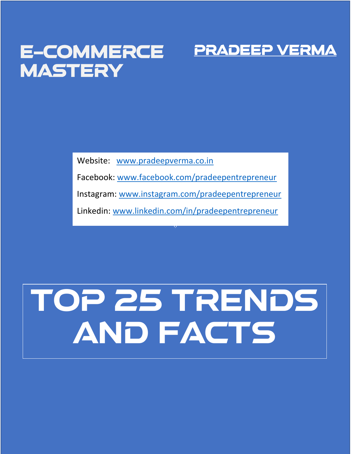## E-commerce **MASTERY**



Website: [www.pradeepverma.co.in](http://www.pradeepverma.co.in/) Facebook: [www.facebook.com/pradeepentrepreneur](http://www.facebook.com/pradeepentrepreneur)

Instagram: [www.instagram.com/pradeepentrepreneur](http://www.instagram.com/pradeepentrepreneur)

Linkedin: [www.linkedin.com/in/pradeepentrepreneur](http://www.linkedin.com/in/pradeepentrepreneur)

ḥ

## Top 25 Trends and Facts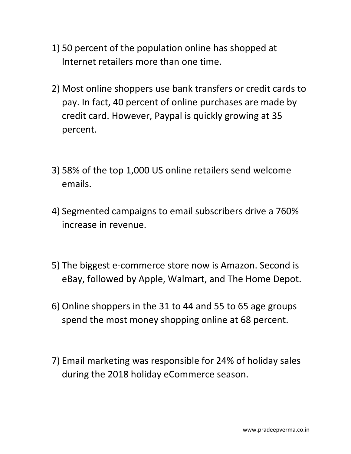- 1) 50 percent of the population online has shopped at Internet retailers more than one time.
- 2) Most online shoppers use bank transfers or credit cards to pay. In fact, 40 percent of online purchases are made by credit card. However, Paypal is quickly growing at 35 percent.
- 3) 58% of the top 1,000 US online retailers send welcome emails.
- 4) Segmented campaigns to email subscribers drive a 760% increase in revenue.
- 5) The biggest e-commerce store now is Amazon. Second is eBay, followed by Apple, Walmart, and The Home Depot.
- 6) Online shoppers in the 31 to 44 and 55 to 65 age groups spend the most money shopping online at 68 percent.
- 7) Email marketing was responsible for 24% of holiday sales during the 2018 holiday eCommerce season.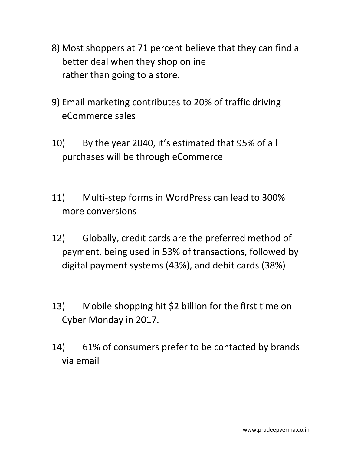- 8) Most shoppers at 71 percent believe that they can find a better deal when they shop online rather than going to a store.
- 9) Email marketing contributes to 20% of traffic driving eCommerce sales
- 10) By the year 2040, it's estimated that 95% of all purchases will be through eCommerce
- 11) Multi-step forms in WordPress can lead to 300% more conversions
- 12) Globally, credit cards are the preferred method of payment, being used in 53% of transactions, followed by digital payment systems (43%), and debit cards (38%)
- 13) Mobile shopping hit \$2 billion for the first time on Cyber Monday in 2017.
- 14) 61% of consumers prefer to be contacted by brands via email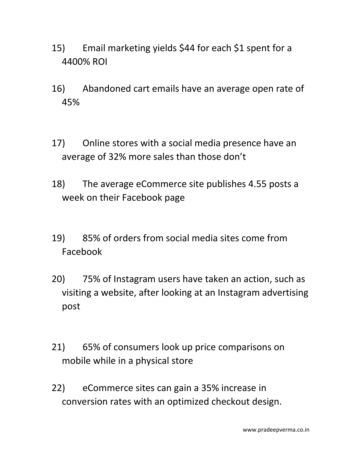- 15) Email marketing yields \$44 for each \$1 spent for a 4400% ROI
- 16) Abandoned cart emails have an average open rate of 45%
- 17) Online stores with a social media presence have an average of 32% more sales than those don't
- 18) The average eCommerce site publishes 4.55 posts a week on their Facebook page
- 19) 85% of orders from social media sites come from Facebook
- 20) 75% of Instagram users have taken an action, such as visiting a website, after looking at an Instagram advertising post
- 21) 65% of consumers look up price comparisons on mobile while in a physical store
- 22) eCommerce sites can gain a 35% increase in conversion rates with an optimized checkout design.